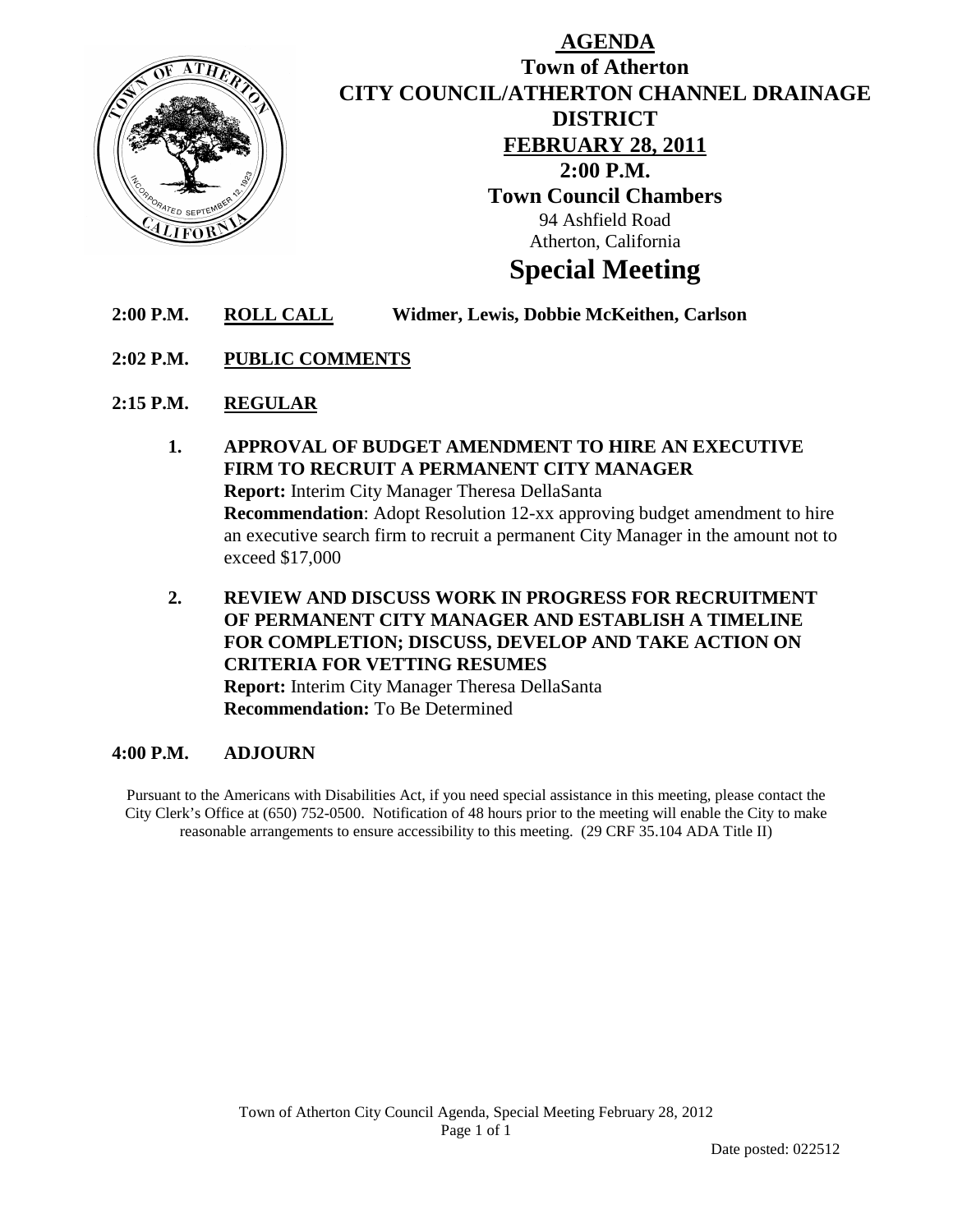

# **AGENDA Town of Atherton CITY COUNCIL/ATHERTON CHANNEL DRAINAGE DISTRICT FEBRUARY 28, 2011 2:00 P.M. Town Council Chambers** 94 Ashfield Road Atherton, California **Special Meeting**

- **2:00 P.M. ROLL CALL Widmer, Lewis, Dobbie McKeithen, Carlson**
- **2:02 P.M. PUBLIC COMMENTS**
- **2:15 P.M. REGULAR**
	- **1. APPROVAL OF BUDGET AMENDMENT TO HIRE AN EXECUTIVE FIRM TO RECRUIT A PERMANENT CITY MANAGER Report:** Interim City Manager Theresa DellaSanta **Recommendation**: Adopt Resolution 12-xx approving budget amendment to hire an executive search firm to recruit a permanent City Manager in the amount not to exceed \$17,000
	- **2. REVIEW AND DISCUSS WORK IN PROGRESS FOR RECRUITMENT OF PERMANENT CITY MANAGER AND ESTABLISH A TIMELINE FOR COMPLETION; DISCUSS, DEVELOP AND TAKE ACTION ON CRITERIA FOR VETTING RESUMES Report:** Interim City Manager Theresa DellaSanta **Recommendation:** To Be Determined

#### **4:00 P.M. ADJOURN**

Pursuant to the Americans with Disabilities Act, if you need special assistance in this meeting, please contact the City Clerk's Office at (650) 752-0500. Notification of 48 hours prior to the meeting will enable the City to make reasonable arrangements to ensure accessibility to this meeting. (29 CRF 35.104 ADA Title II)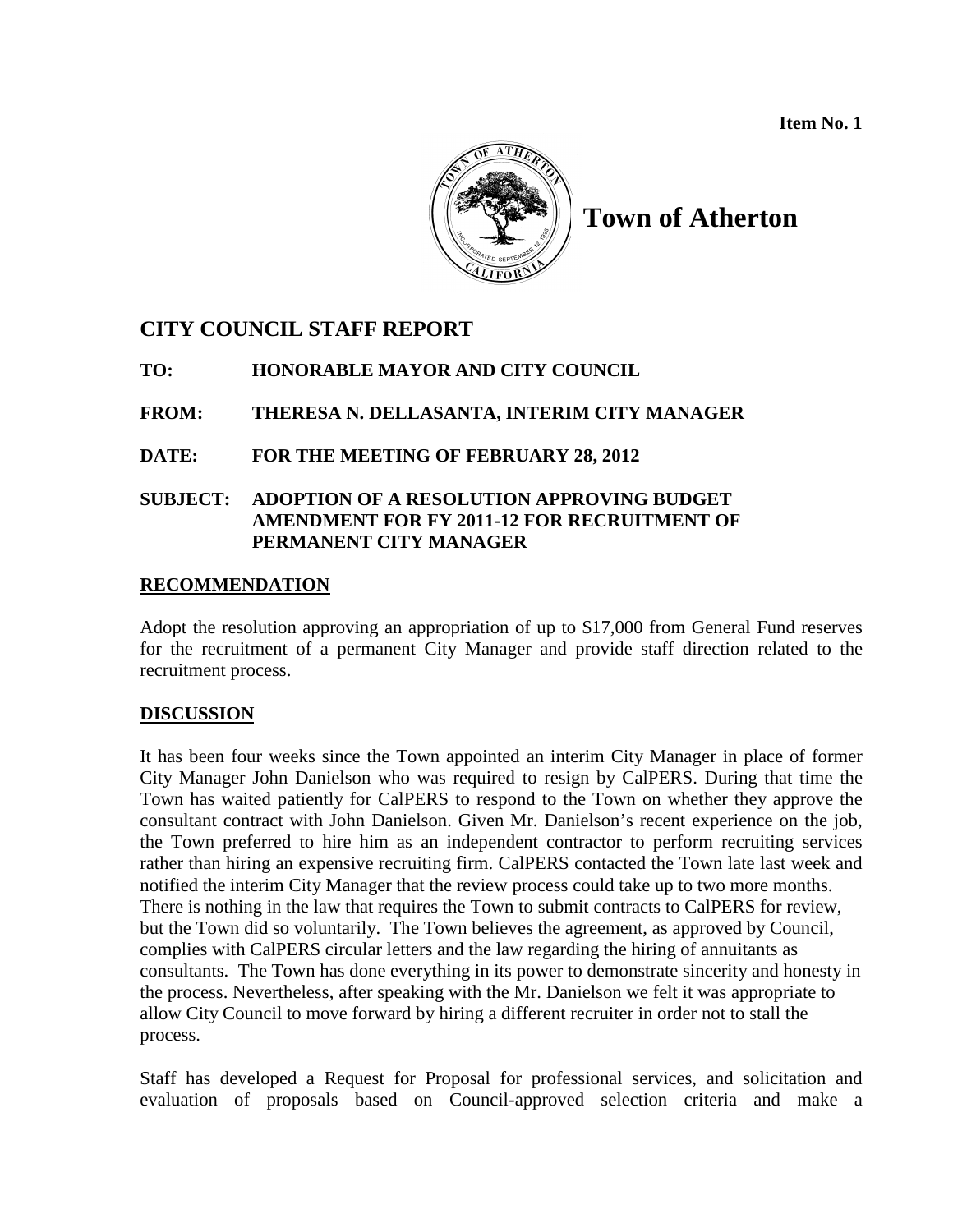**Item No. 1**



**Town of Atherton**

## **CITY COUNCIL STAFF REPORT**

**TO: HONORABLE MAYOR AND CITY COUNCIL**

**FROM: THERESA N. DELLASANTA, INTERIM CITY MANAGER**

**DATE: FOR THE MEETING OF FEBRUARY 28, 2012**

## **SUBJECT: ADOPTION OF A RESOLUTION APPROVING BUDGET AMENDMENT FOR FY 2011-12 FOR RECRUITMENT OF PERMANENT CITY MANAGER**

## **RECOMMENDATION**

Adopt the resolution approving an appropriation of up to \$17,000 from General Fund reserves for the recruitment of a permanent City Manager and provide staff direction related to the recruitment process.

## **DISCUSSION**

It has been four weeks since the Town appointed an interim City Manager in place of former City Manager John Danielson who was required to resign by CalPERS. During that time the Town has waited patiently for CalPERS to respond to the Town on whether they approve the consultant contract with John Danielson. Given Mr. Danielson's recent experience on the job, the Town preferred to hire him as an independent contractor to perform recruiting services rather than hiring an expensive recruiting firm. CalPERS contacted the Town late last week and notified the interim City Manager that the review process could take up to two more months. There is nothing in the law that requires the Town to submit contracts to CalPERS for review, but the Town did so voluntarily. The Town believes the agreement, as approved by Council, complies with CalPERS circular letters and the law regarding the hiring of annuitants as consultants. The Town has done everything in its power to demonstrate sincerity and honesty in the process. Nevertheless, after speaking with the Mr. Danielson we felt it was appropriate to allow City Council to move forward by hiring a different recruiter in order not to stall the process.

Staff has developed a Request for Proposal for professional services, and solicitation and evaluation of proposals based on Council-approved selection criteria and make a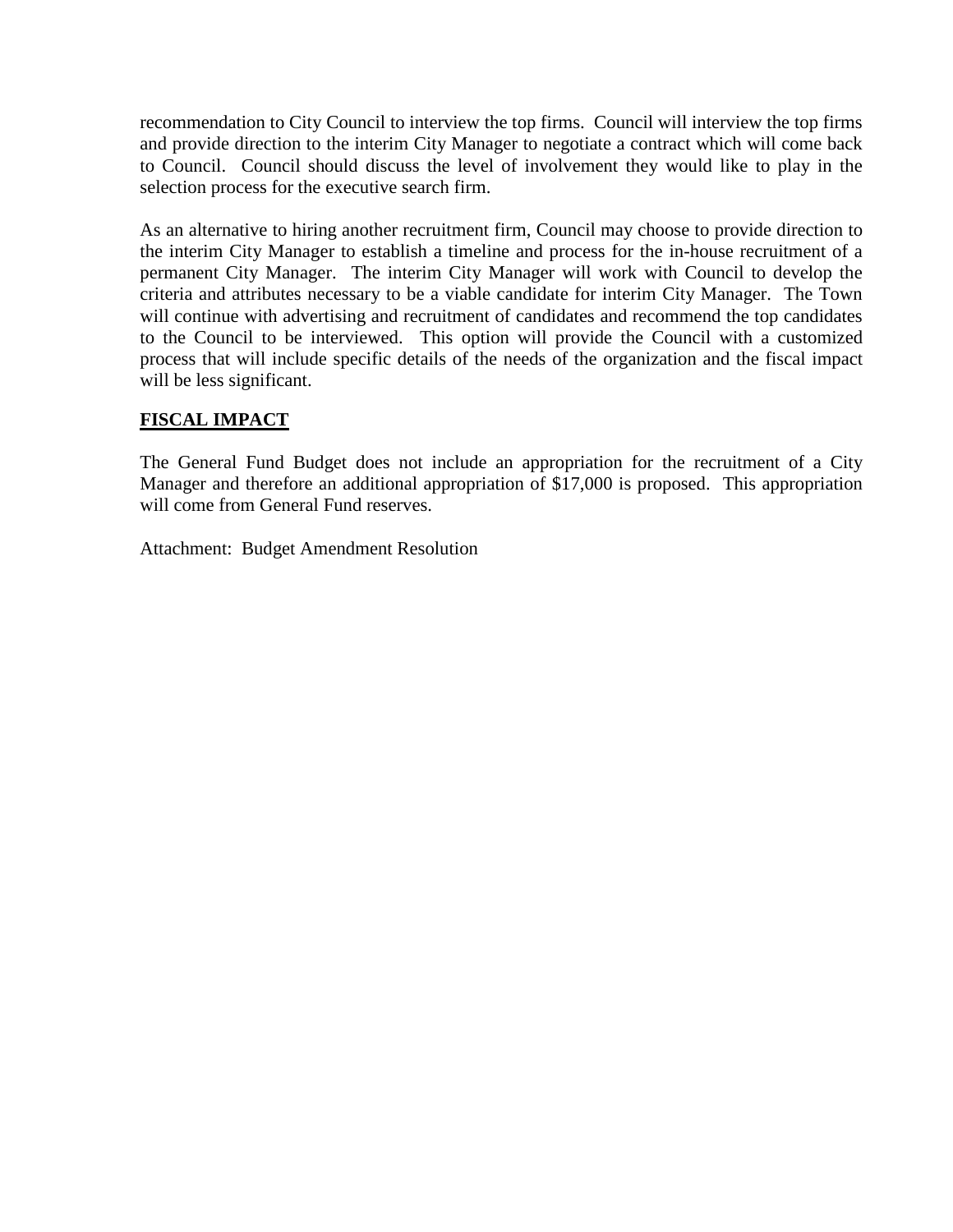recommendation to City Council to interview the top firms. Council will interview the top firms and provide direction to the interim City Manager to negotiate a contract which will come back to Council. Council should discuss the level of involvement they would like to play in the selection process for the executive search firm.

As an alternative to hiring another recruitment firm, Council may choose to provide direction to the interim City Manager to establish a timeline and process for the in-house recruitment of a permanent City Manager. The interim City Manager will work with Council to develop the criteria and attributes necessary to be a viable candidate for interim City Manager. The Town will continue with advertising and recruitment of candidates and recommend the top candidates to the Council to be interviewed. This option will provide the Council with a customized process that will include specific details of the needs of the organization and the fiscal impact will be less significant.

## **FISCAL IMPACT**

The General Fund Budget does not include an appropriation for the recruitment of a City Manager and therefore an additional appropriation of \$17,000 is proposed. This appropriation will come from General Fund reserves.

Attachment: Budget Amendment Resolution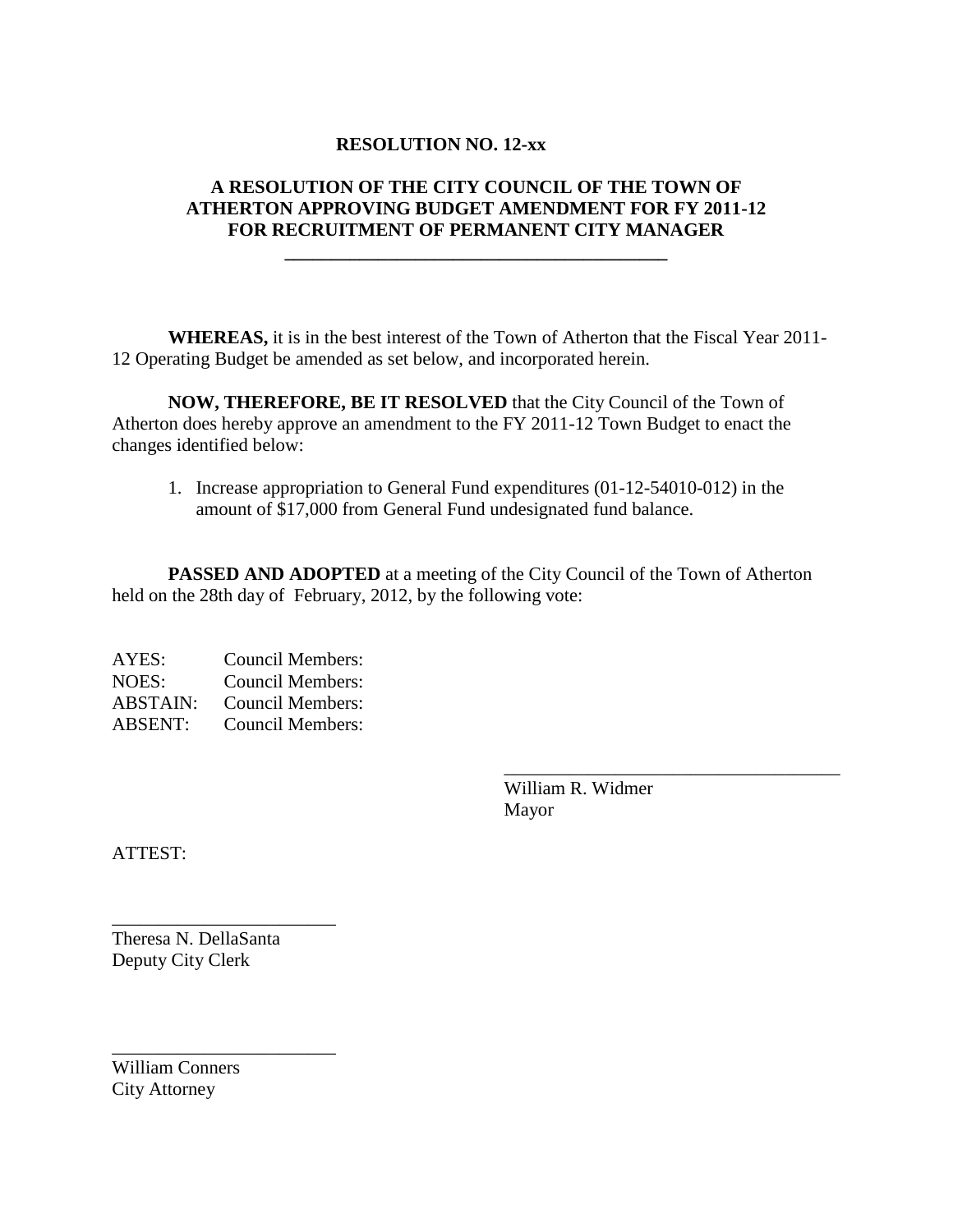## **RESOLUTION NO. 12-xx**

## **A RESOLUTION OF THE CITY COUNCIL OF THE TOWN OF ATHERTON APPROVING BUDGET AMENDMENT FOR FY 2011-12 FOR RECRUITMENT OF PERMANENT CITY MANAGER**

**\_\_\_\_\_\_\_\_\_\_\_\_\_\_\_\_\_\_\_\_\_\_\_\_\_\_\_\_\_\_\_\_\_\_\_\_\_\_\_\_\_**

**WHEREAS,** it is in the best interest of the Town of Atherton that the Fiscal Year 2011- 12 Operating Budget be amended as set below, and incorporated herein.

**NOW, THEREFORE, BE IT RESOLVED** that the City Council of the Town of Atherton does hereby approve an amendment to the FY 2011-12 Town Budget to enact the changes identified below:

1. Increase appropriation to General Fund expenditures (01-12-54010-012) in the amount of \$17,000 from General Fund undesignated fund balance.

**PASSED AND ADOPTED** at a meeting of the City Council of the Town of Atherton held on the 28th day of February, 2012, by the following vote:

AYES: Council Members: NOES: Council Members: ABSTAIN: Council Members: ABSENT: Council Members:

> William R. Widmer Mayor

\_\_\_\_\_\_\_\_\_\_\_\_\_\_\_\_\_\_\_\_\_\_\_\_\_\_\_\_\_\_\_\_\_\_\_\_

ATTEST:

Theresa N. DellaSanta Deputy City Clerk

\_\_\_\_\_\_\_\_\_\_\_\_\_\_\_\_\_\_\_\_\_\_\_\_

\_\_\_\_\_\_\_\_\_\_\_\_\_\_\_\_\_\_\_\_\_\_\_\_

William Conners City Attorney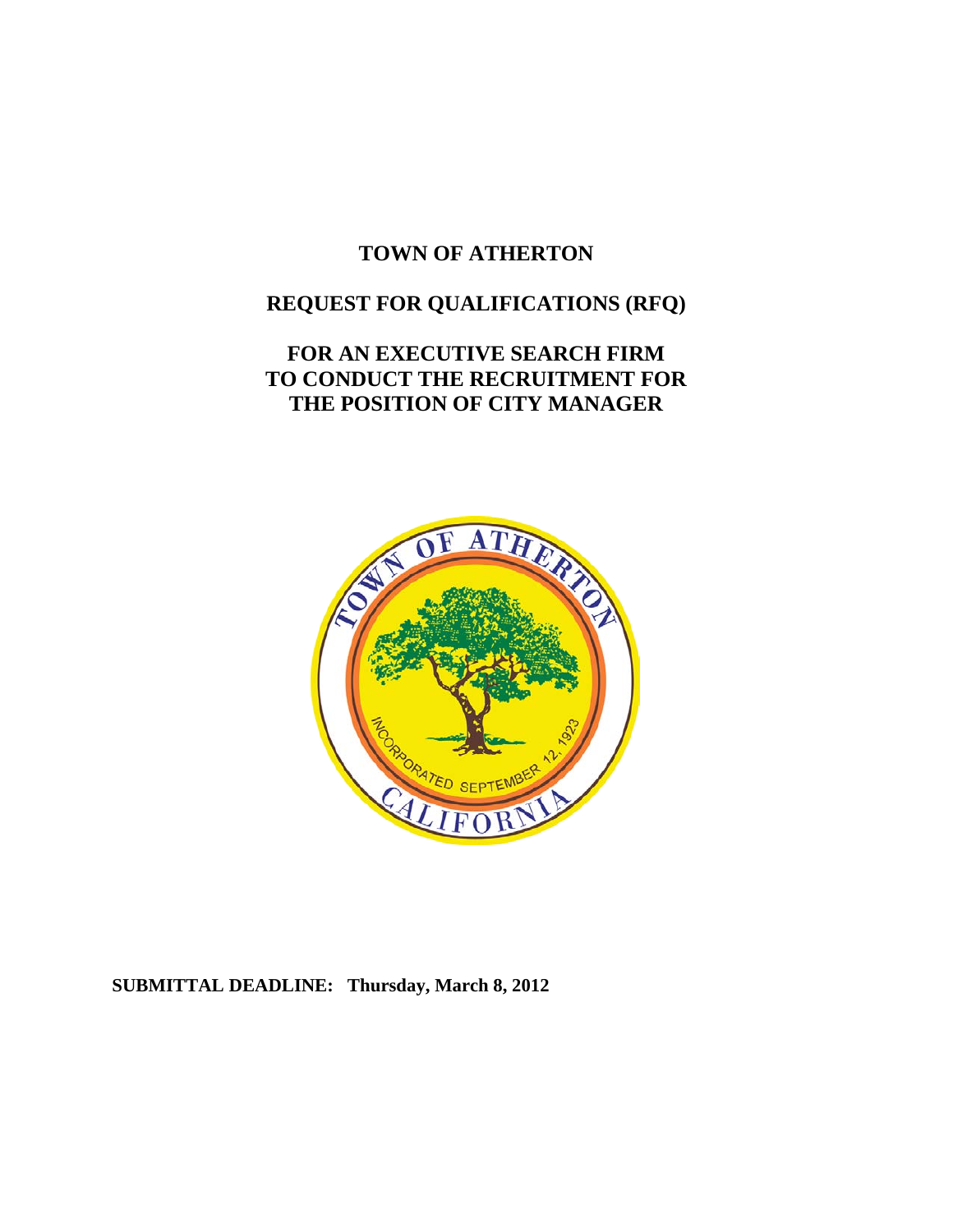# **TOWN OF ATHERTON**

# **REQUEST FOR QUALIFICATIONS (RFQ)**

# **FOR AN EXECUTIVE SEARCH FIRM TO CONDUCT THE RECRUITMENT FOR THE POSITION OF CITY MANAGER**



## **SUBMITTAL DEADLINE: Thursday, March 8, 2012**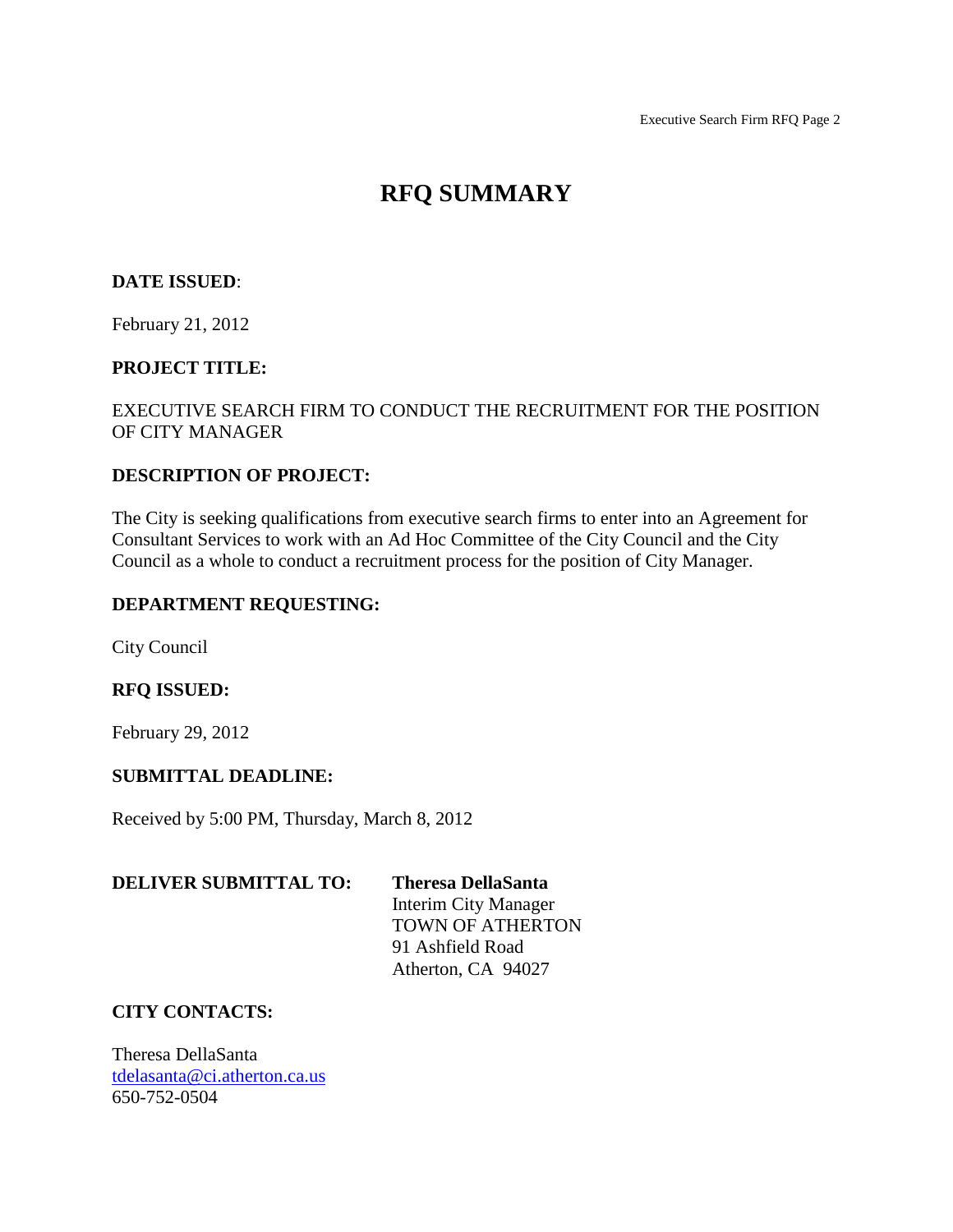# **RFQ SUMMARY**

## **DATE ISSUED**:

February 21, 2012

#### **PROJECT TITLE:**

## EXECUTIVE SEARCH FIRM TO CONDUCT THE RECRUITMENT FOR THE POSITION OF CITY MANAGER

### **DESCRIPTION OF PROJECT:**

The City is seeking qualifications from executive search firms to enter into an Agreement for Consultant Services to work with an Ad Hoc Committee of the City Council and the City Council as a whole to conduct a recruitment process for the position of City Manager.

#### **DEPARTMENT REQUESTING:**

City Council

#### **RFQ ISSUED:**

February 29, 2012

#### **SUBMITTAL DEADLINE:**

Received by 5:00 PM, Thursday, March 8, 2012

| <b>DELIVER SUBMITTAL TO:</b> | <b>Theresa DellaSanta</b> |
|------------------------------|---------------------------|
|                              | Interim City Manager      |
|                              | <b>TOWN OF ATHERTON</b>   |
|                              | 91 Ashfield Road          |
|                              | Atherton, CA 94027        |

### **CITY CONTACTS:**

Theresa DellaSanta [tdelasanta@ci.atherton.ca.us](mailto:tdelasanta@ci.atherton.ca.us) 650-752-0504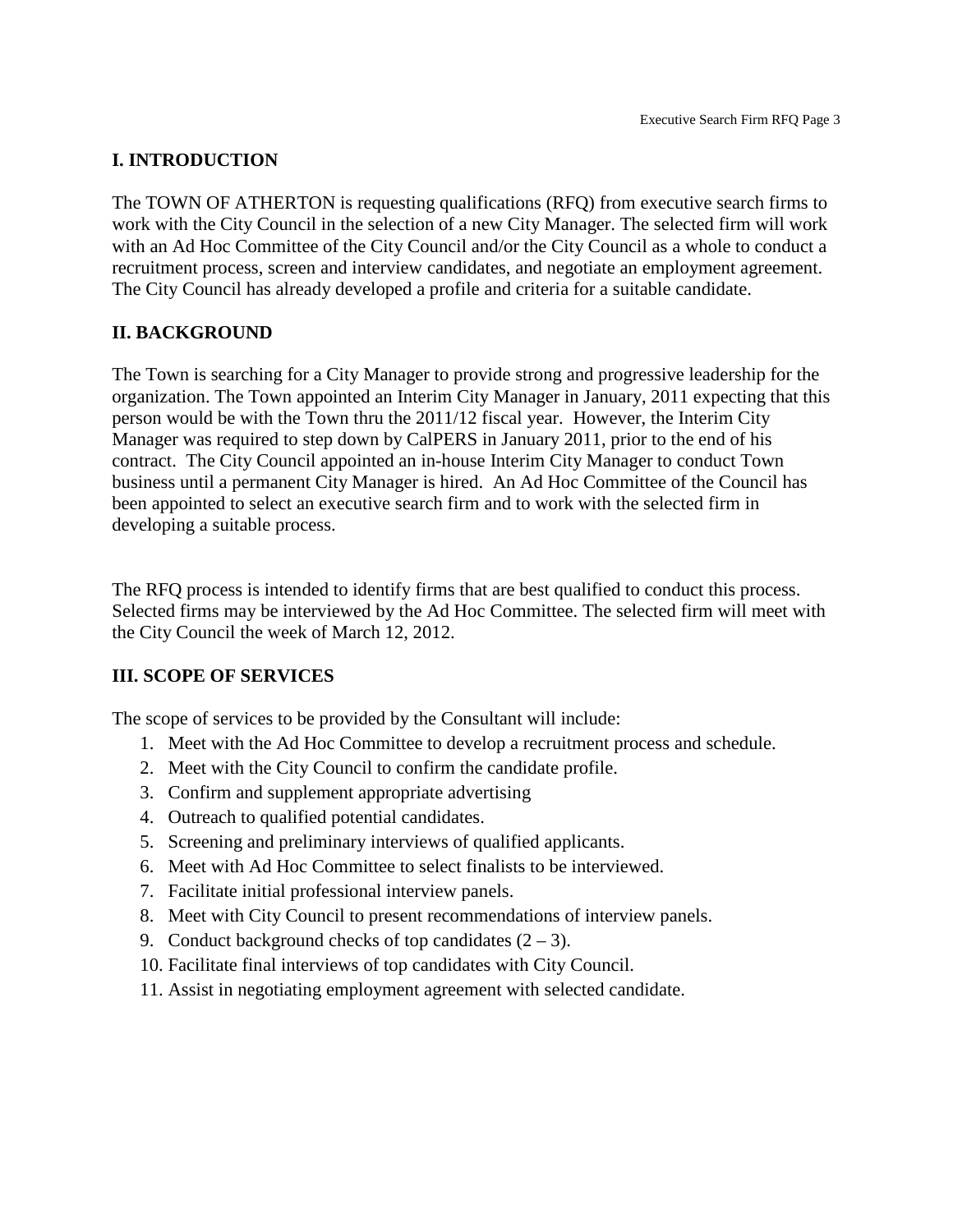## **I. INTRODUCTION**

The TOWN OF ATHERTON is requesting qualifications (RFQ) from executive search firms to work with the City Council in the selection of a new City Manager. The selected firm will work with an Ad Hoc Committee of the City Council and/or the City Council as a whole to conduct a recruitment process, screen and interview candidates, and negotiate an employment agreement. The City Council has already developed a profile and criteria for a suitable candidate.

## **II. BACKGROUND**

The Town is searching for a City Manager to provide strong and progressive leadership for the organization. The Town appointed an Interim City Manager in January, 2011 expecting that this person would be with the Town thru the 2011/12 fiscal year. However, the Interim City Manager was required to step down by CalPERS in January 2011, prior to the end of his contract. The City Council appointed an in-house Interim City Manager to conduct Town business until a permanent City Manager is hired. An Ad Hoc Committee of the Council has been appointed to select an executive search firm and to work with the selected firm in developing a suitable process.

The RFQ process is intended to identify firms that are best qualified to conduct this process. Selected firms may be interviewed by the Ad Hoc Committee. The selected firm will meet with the City Council the week of March 12, 2012.

## **III. SCOPE OF SERVICES**

The scope of services to be provided by the Consultant will include:

- 1. Meet with the Ad Hoc Committee to develop a recruitment process and schedule.
- 2. Meet with the City Council to confirm the candidate profile.
- 3. Confirm and supplement appropriate advertising
- 4. Outreach to qualified potential candidates.
- 5. Screening and preliminary interviews of qualified applicants.
- 6. Meet with Ad Hoc Committee to select finalists to be interviewed.
- 7. Facilitate initial professional interview panels.
- 8. Meet with City Council to present recommendations of interview panels.
- 9. Conduct background checks of top candidates  $(2 3)$ .
- 10. Facilitate final interviews of top candidates with City Council.
- 11. Assist in negotiating employment agreement with selected candidate.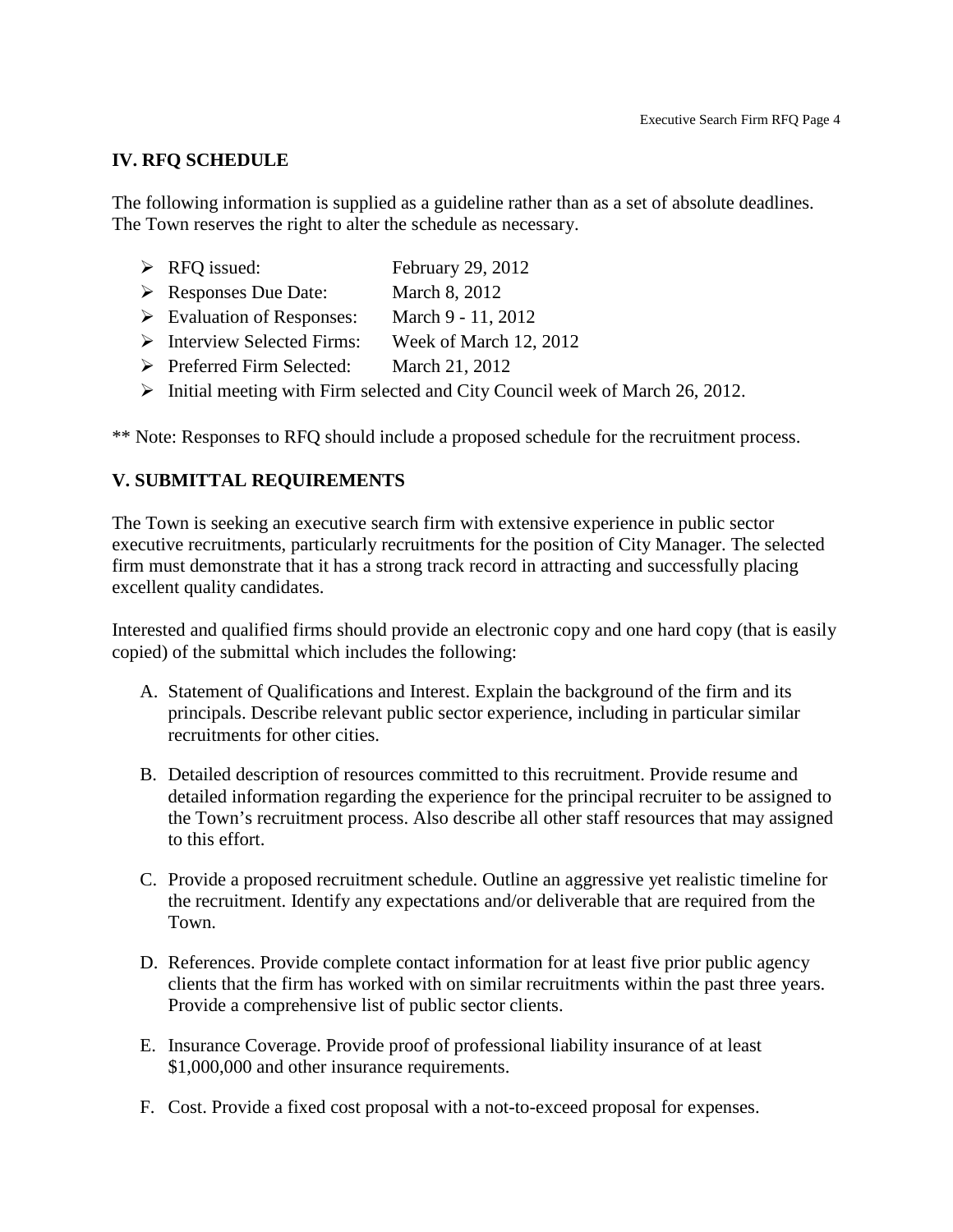#### **IV. RFQ SCHEDULE**

The following information is supplied as a guideline rather than as a set of absolute deadlines. The Town reserves the right to alter the schedule as necessary.

- $\triangleright$  RFQ issued: February 29, 2012
- Responses Due Date: March 8, 2012
- Evaluation of Responses: March 9 11, 2012
- Interview Selected Firms: Week of March 12, 2012
- Preferred Firm Selected: March 21, 2012
- $\triangleright$  Initial meeting with Firm selected and City Council week of March 26, 2012.

\*\* Note: Responses to RFQ should include a proposed schedule for the recruitment process.

### **V. SUBMITTAL REQUIREMENTS**

The Town is seeking an executive search firm with extensive experience in public sector executive recruitments, particularly recruitments for the position of City Manager. The selected firm must demonstrate that it has a strong track record in attracting and successfully placing excellent quality candidates.

Interested and qualified firms should provide an electronic copy and one hard copy (that is easily copied) of the submittal which includes the following:

- A. Statement of Qualifications and Interest. Explain the background of the firm and its principals. Describe relevant public sector experience, including in particular similar recruitments for other cities.
- B. Detailed description of resources committed to this recruitment. Provide resume and detailed information regarding the experience for the principal recruiter to be assigned to the Town's recruitment process. Also describe all other staff resources that may assigned to this effort.
- C. Provide a proposed recruitment schedule. Outline an aggressive yet realistic timeline for the recruitment. Identify any expectations and/or deliverable that are required from the Town.
- D. References. Provide complete contact information for at least five prior public agency clients that the firm has worked with on similar recruitments within the past three years. Provide a comprehensive list of public sector clients.
- E. Insurance Coverage. Provide proof of professional liability insurance of at least \$1,000,000 and other insurance requirements.
- F. Cost. Provide a fixed cost proposal with a not-to-exceed proposal for expenses.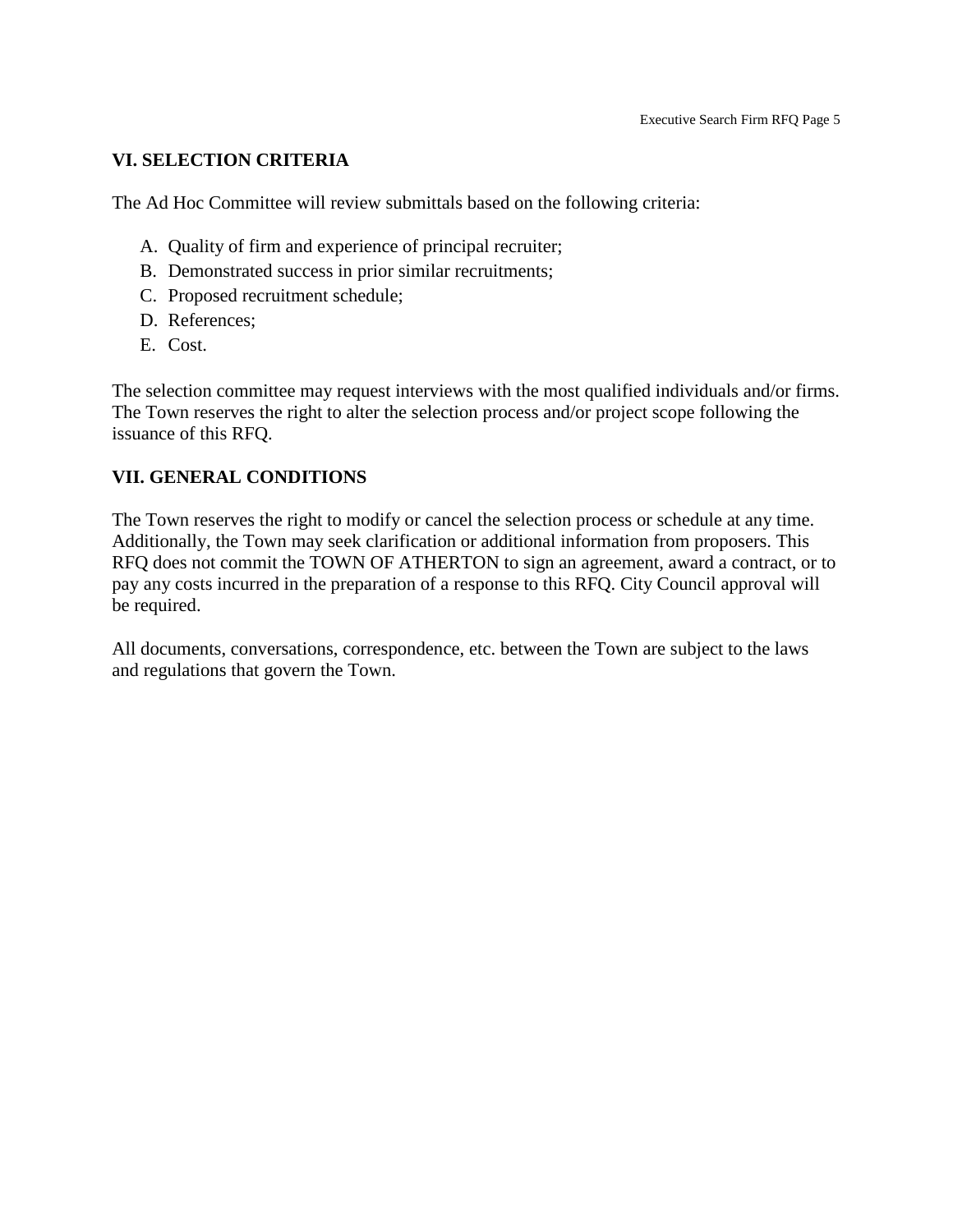## **VI. SELECTION CRITERIA**

The Ad Hoc Committee will review submittals based on the following criteria:

- A. Quality of firm and experience of principal recruiter;
- B. Demonstrated success in prior similar recruitments;
- C. Proposed recruitment schedule;
- D. References;
- E. Cost.

The selection committee may request interviews with the most qualified individuals and/or firms. The Town reserves the right to alter the selection process and/or project scope following the issuance of this RFQ.

## **VII. GENERAL CONDITIONS**

The Town reserves the right to modify or cancel the selection process or schedule at any time. Additionally, the Town may seek clarification or additional information from proposers. This RFQ does not commit the TOWN OF ATHERTON to sign an agreement, award a contract, or to pay any costs incurred in the preparation of a response to this RFQ. City Council approval will be required.

All documents, conversations, correspondence, etc. between the Town are subject to the laws and regulations that govern the Town.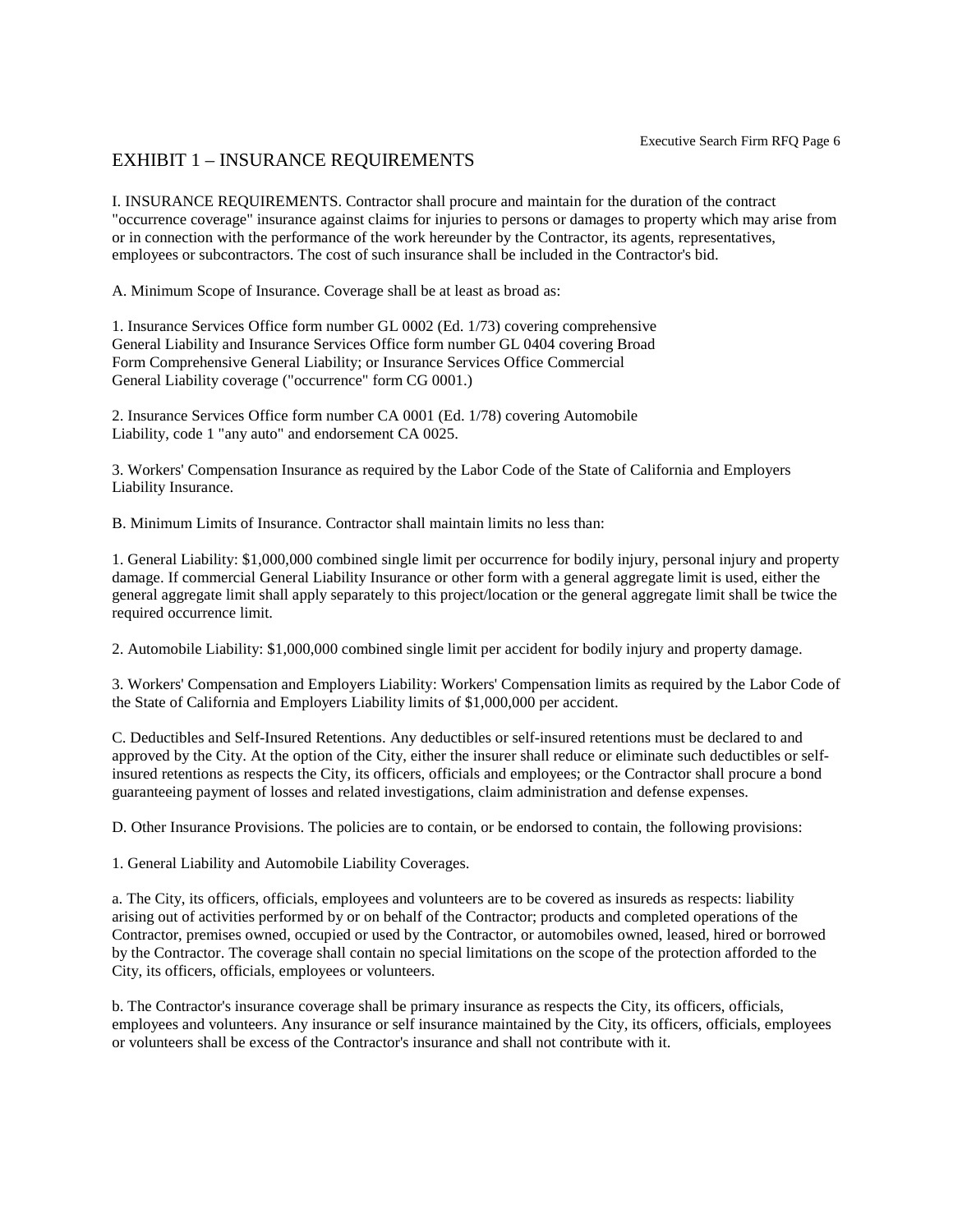#### EXHIBIT 1 – INSURANCE REQUIREMENTS

I. INSURANCE REQUIREMENTS. Contractor shall procure and maintain for the duration of the contract "occurrence coverage" insurance against claims for injuries to persons or damages to property which may arise from or in connection with the performance of the work hereunder by the Contractor, its agents, representatives, employees or subcontractors. The cost of such insurance shall be included in the Contractor's bid.

A. Minimum Scope of Insurance. Coverage shall be at least as broad as:

1. Insurance Services Office form number GL 0002 (Ed. 1/73) covering comprehensive General Liability and Insurance Services Office form number GL 0404 covering Broad Form Comprehensive General Liability; or Insurance Services Office Commercial General Liability coverage ("occurrence" form CG 0001.)

2. Insurance Services Office form number CA 0001 (Ed. 1/78) covering Automobile Liability, code 1 "any auto" and endorsement CA 0025.

3. Workers' Compensation Insurance as required by the Labor Code of the State of California and Employers Liability Insurance.

B. Minimum Limits of Insurance. Contractor shall maintain limits no less than:

1. General Liability: \$1,000,000 combined single limit per occurrence for bodily injury, personal injury and property damage. If commercial General Liability Insurance or other form with a general aggregate limit is used, either the general aggregate limit shall apply separately to this project/location or the general aggregate limit shall be twice the required occurrence limit.

2. Automobile Liability: \$1,000,000 combined single limit per accident for bodily injury and property damage.

3. Workers' Compensation and Employers Liability: Workers' Compensation limits as required by the Labor Code of the State of California and Employers Liability limits of \$1,000,000 per accident.

C. Deductibles and Self-Insured Retentions. Any deductibles or self-insured retentions must be declared to and approved by the City. At the option of the City, either the insurer shall reduce or eliminate such deductibles or selfinsured retentions as respects the City, its officers, officials and employees; or the Contractor shall procure a bond guaranteeing payment of losses and related investigations, claim administration and defense expenses.

D. Other Insurance Provisions. The policies are to contain, or be endorsed to contain, the following provisions:

1. General Liability and Automobile Liability Coverages.

a. The City, its officers, officials, employees and volunteers are to be covered as insureds as respects: liability arising out of activities performed by or on behalf of the Contractor; products and completed operations of the Contractor, premises owned, occupied or used by the Contractor, or automobiles owned, leased, hired or borrowed by the Contractor. The coverage shall contain no special limitations on the scope of the protection afforded to the City, its officers, officials, employees or volunteers.

b. The Contractor's insurance coverage shall be primary insurance as respects the City, its officers, officials, employees and volunteers. Any insurance or self insurance maintained by the City, its officers, officials, employees or volunteers shall be excess of the Contractor's insurance and shall not contribute with it.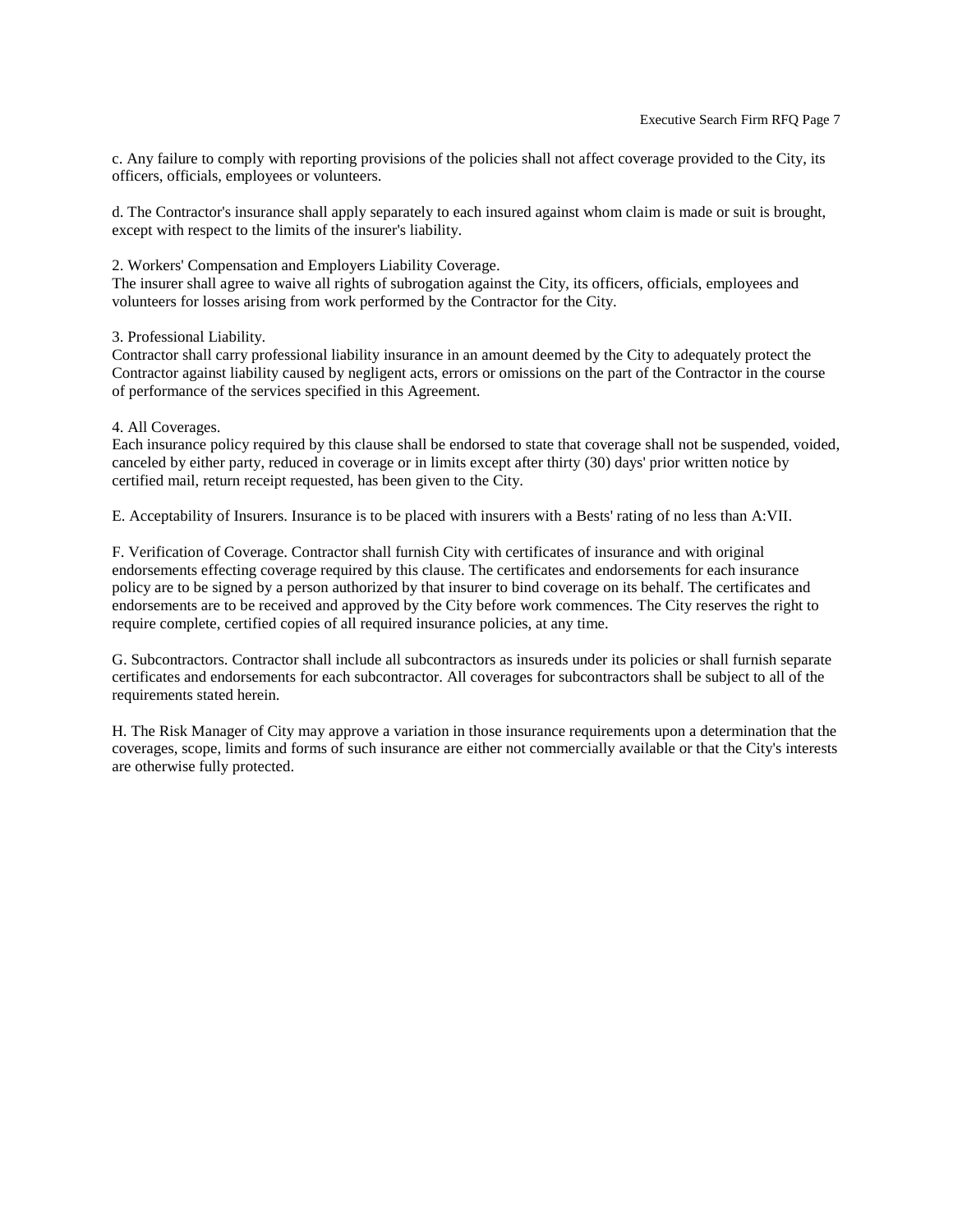c. Any failure to comply with reporting provisions of the policies shall not affect coverage provided to the City, its officers, officials, employees or volunteers.

d. The Contractor's insurance shall apply separately to each insured against whom claim is made or suit is brought, except with respect to the limits of the insurer's liability.

2. Workers' Compensation and Employers Liability Coverage.

The insurer shall agree to waive all rights of subrogation against the City, its officers, officials, employees and volunteers for losses arising from work performed by the Contractor for the City.

#### 3. Professional Liability.

Contractor shall carry professional liability insurance in an amount deemed by the City to adequately protect the Contractor against liability caused by negligent acts, errors or omissions on the part of the Contractor in the course of performance of the services specified in this Agreement.

#### 4. All Coverages.

Each insurance policy required by this clause shall be endorsed to state that coverage shall not be suspended, voided, canceled by either party, reduced in coverage or in limits except after thirty (30) days' prior written notice by certified mail, return receipt requested, has been given to the City.

E. Acceptability of Insurers. Insurance is to be placed with insurers with a Bests' rating of no less than A:VII.

F. Verification of Coverage. Contractor shall furnish City with certificates of insurance and with original endorsements effecting coverage required by this clause. The certificates and endorsements for each insurance policy are to be signed by a person authorized by that insurer to bind coverage on its behalf. The certificates and endorsements are to be received and approved by the City before work commences. The City reserves the right to require complete, certified copies of all required insurance policies, at any time.

G. Subcontractors. Contractor shall include all subcontractors as insureds under its policies or shall furnish separate certificates and endorsements for each subcontractor. All coverages for subcontractors shall be subject to all of the requirements stated herein.

H. The Risk Manager of City may approve a variation in those insurance requirements upon a determination that the coverages, scope, limits and forms of such insurance are either not commercially available or that the City's interests are otherwise fully protected.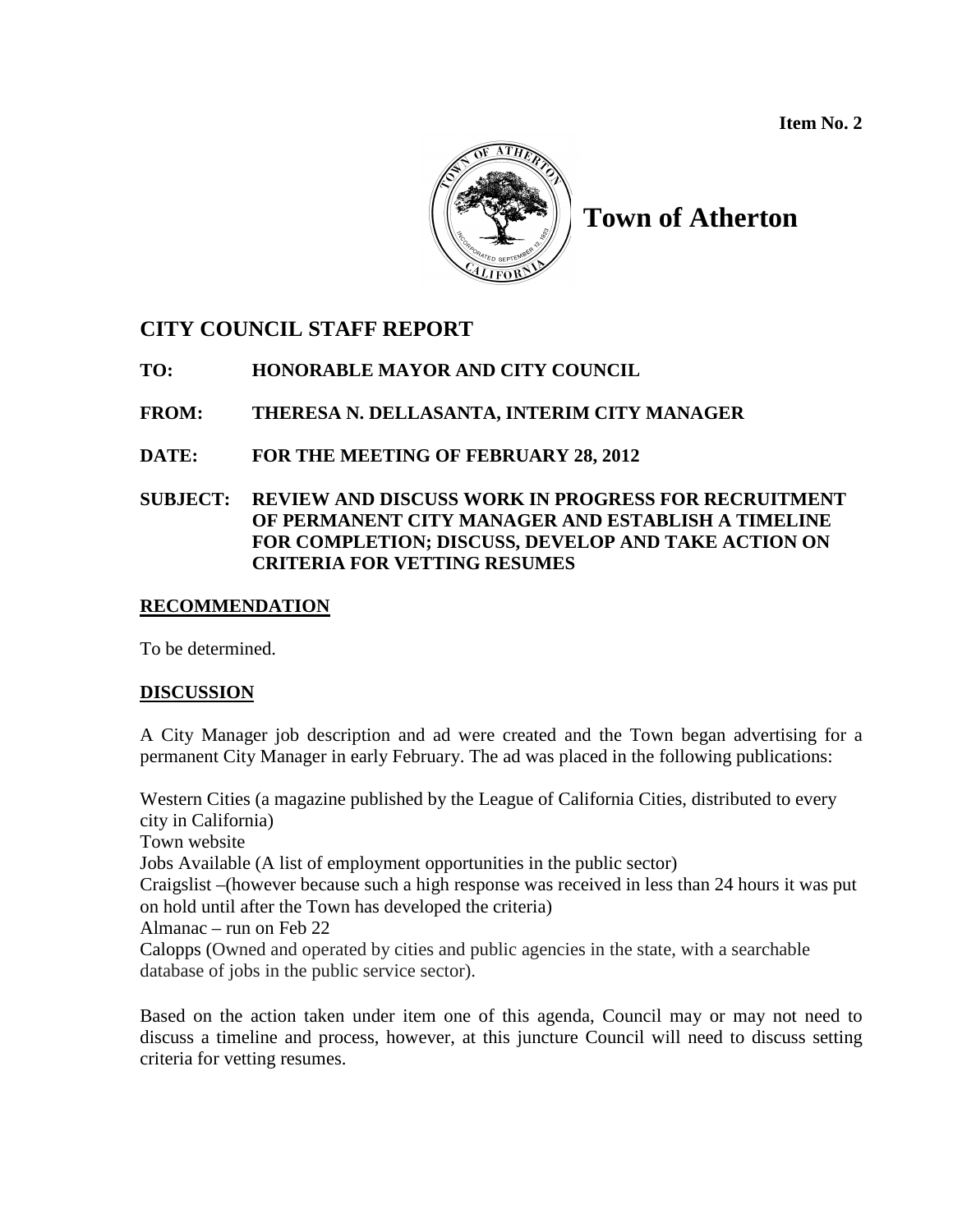**Item No. 2**



# **Town of Atherton**

## **CITY COUNCIL STAFF REPORT**

**TO: HONORABLE MAYOR AND CITY COUNCIL**

**FROM: THERESA N. DELLASANTA, INTERIM CITY MANAGER**

**DATE: FOR THE MEETING OF FEBRUARY 28, 2012**

## **SUBJECT: REVIEW AND DISCUSS WORK IN PROGRESS FOR RECRUITMENT OF PERMANENT CITY MANAGER AND ESTABLISH A TIMELINE FOR COMPLETION; DISCUSS, DEVELOP AND TAKE ACTION ON CRITERIA FOR VETTING RESUMES**

## **RECOMMENDATION**

To be determined.

## **DISCUSSION**

A City Manager job description and ad were created and the Town began advertising for a permanent City Manager in early February. The ad was placed in the following publications:

Western Cities (a magazine published by the League of California Cities, distributed to every city in California) Town website Jobs Available (A list of employment opportunities in the public sector) Craigslist –(however because such a high response was received in less than 24 hours it was put on hold until after the Town has developed the criteria) Almanac – run on Feb 22 Calopps (Owned and operated by cities and public agencies in the state, with a searchable database of jobs in the public service sector).

Based on the action taken under item one of this agenda, Council may or may not need to discuss a timeline and process, however, at this juncture Council will need to discuss setting criteria for vetting resumes.